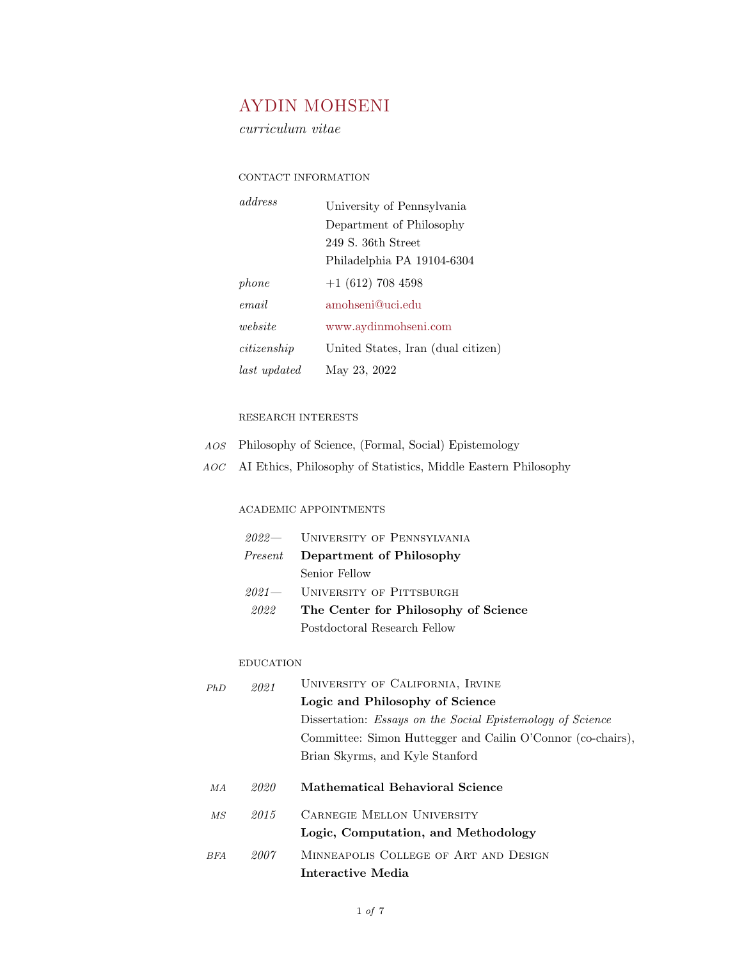# AYDIN MOHSENI

curriculum vitae

## CONTACT INFORMATION

| address      | University of Pennsylvania         |  |
|--------------|------------------------------------|--|
|              | Department of Philosophy           |  |
|              | 249 S. 36th Street                 |  |
|              | Philadelphia PA 19104-6304         |  |
| phone        | $+1$ (612) 708 4598                |  |
| email        | amohseni@uci.edu                   |  |
| website      | www.aydinmohseni.com               |  |
| citize nship | United States, Iran (dual citizen) |  |
| last updated | May 23, 2022                       |  |
|              |                                    |  |

## RESEARCH INTERESTS

- AOS Philosophy of Science, (Formal, Social) Epistemology
- AOC AI Ethics, Philosophy of Statistics, Middle Eastern Philosophy

## ACADEMIC APPOINTMENTS

|      | $2022$ UNIVERSITY OF PENNSYLVANIA       |
|------|-----------------------------------------|
|      | <i>Present</i> Department of Philosophy |
|      | Senior Fellow                           |
|      | $2021 -$ UNIVERSITY OF PITTSBURGH       |
| 2022 | The Center for Philosophy of Science    |
|      | Postdoctoral Research Fellow            |

#### EDUCATION

| PhD             | 2021 | UNIVERSITY OF CALIFORNIA, IRVINE                                  |  |
|-----------------|------|-------------------------------------------------------------------|--|
|                 |      | Logic and Philosophy of Science                                   |  |
|                 |      | Dissertation: <i>Essays on the Social Epistemology of Science</i> |  |
|                 |      | Committee: Simon Huttegger and Cailin O'Connor (co-chairs),       |  |
|                 |      | Brian Skyrms, and Kyle Stanford                                   |  |
|                 |      |                                                                   |  |
| MA              | 2020 | Mathematical Behavioral Science                                   |  |
| $\overline{MS}$ | 2015 | <b>CARNEGIE MELLON UNIVERSITY</b>                                 |  |
|                 |      | Logic, Computation, and Methodology                               |  |
| <b>BFA</b>      | 2007 | MINNEAPOLIS COLLEGE OF ART AND DESIGN                             |  |
|                 |      |                                                                   |  |

Interactive Media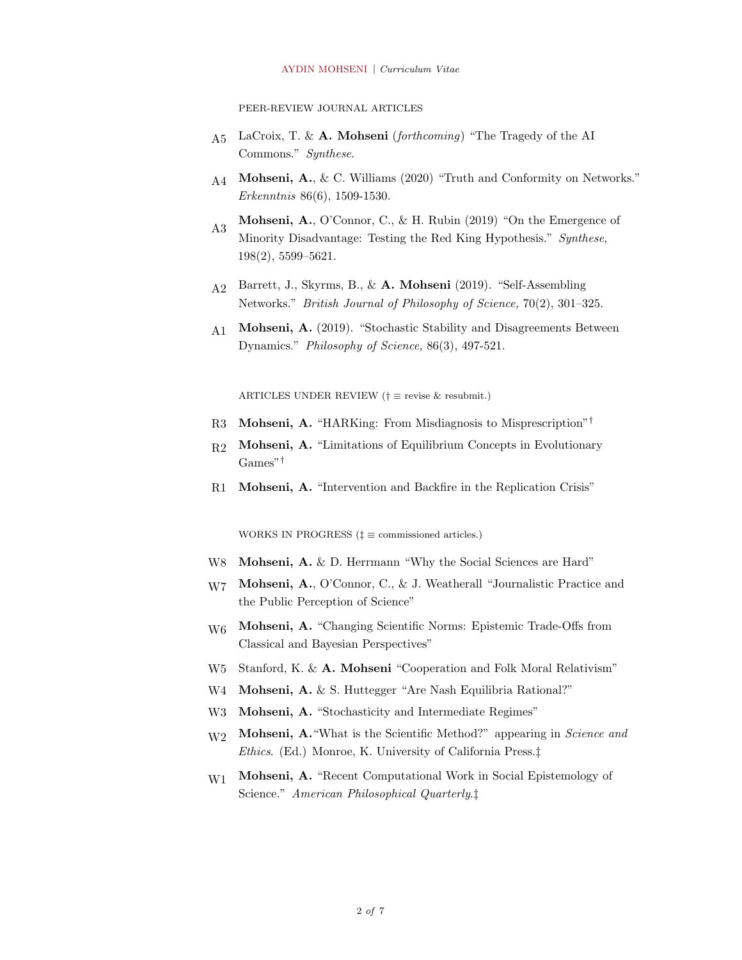PEER-REVIEW JOURNAL ARTICLES

- $A_5$  LaCroix, T. & A. Mohseni (forthcoming) "The Tragedy of the AI Commons." Synthese.
- $A_4$  Mohseni, A., & C. Williams (2020) "Truth and Conformity on Networks." Erkenntnis 86(6), 1509-1530.
- A3 Mohseni, A., O'Connor, C., & H. Rubin (2019) "On the Emergence of Minority Disadvantage: Testing the Red King Hypothesis." Synthese, 198(2), 5599–5621.
- A2 Barrett, J., Skyrms, B., & A. Mohseni (2019). "Self-Assembling Networks." British Journal of Philosophy of Science, 70(2), 301–325.
- A1 Mohseni, A. (2019). "Stochastic Stability and Disagreements Between Dynamics." Philosophy of Science, 86(3), 497-521.

ARTICLES UNDER REVIEW (†  $\equiv$  revise & resubmit.)

- R3 Mohseni, A. "HARKing: From Misdiagnosis to Misprescription"†
- R2 Mohseni, A. "Limitations of Equilibrium Concepts in Evolutionary Games"†
- R1 Mohseni, A. "Intervention and Backfire in the Replication Crisis"

WORKS IN PROGRESS ( $\ddagger \equiv$  commissioned articles.)

- W8 **Mohseni, A.** & D. Herrmann "Why the Social Sciences are Hard"
- W7 Mohseni, A., O'Connor, C., & J. Weatherall "Journalistic Practice and the Public Perception of Science"
- W6 Mohseni, A. "Changing Scientific Norms: Epistemic Trade-Offs from Classical and Bayesian Perspectives"
- W<sub>5</sub> Stanford, K. & **A. Mohseni** "Cooperation and Folk Moral Relativism"
- W4 **Mohseni, A.** & S. Huttegger "Are Nash Equilibria Rational?"
- W3 Mohseni, A. "Stochasticity and Intermediate Regimes"
- W<sub>2</sub> Mohseni, A. "What is the Scientific Method?" appearing in Science and Ethics. (Ed.) Monroe, K. University of California Press.‡
- W<sub>1</sub> Mohseni, A. "Recent Computational Work in Social Epistemology of Science." American Philosophical Quarterly.‡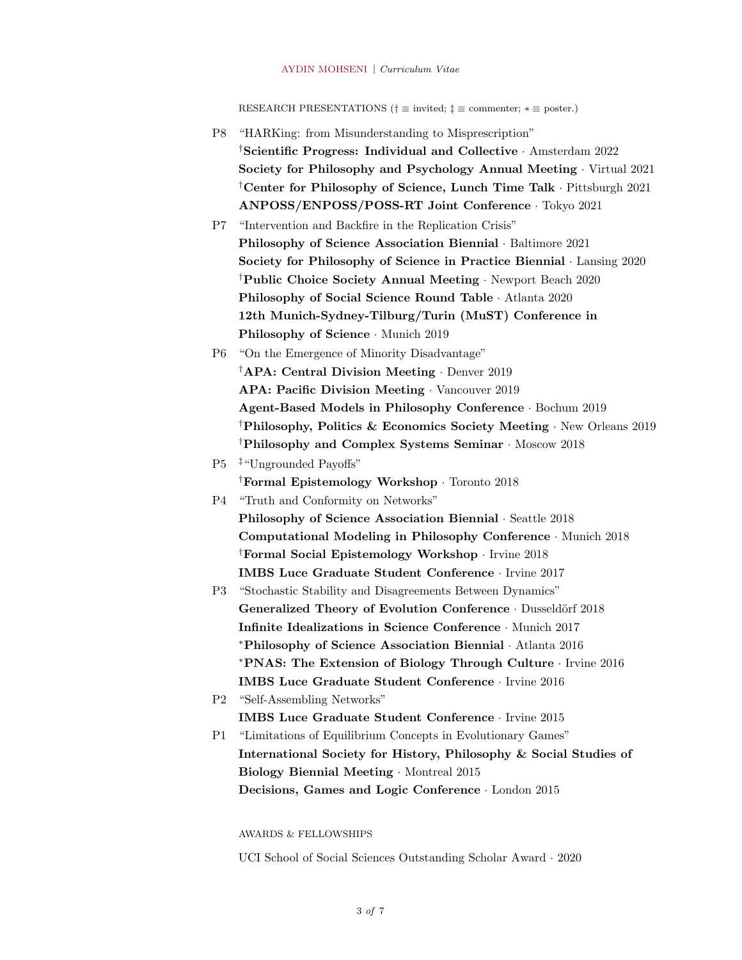RESEARCH PRESENTATIONS (†  $\equiv$  invited;  $\ddagger \equiv$  commenter;  $* \equiv$  poster.)

P8 "HARKing: from Misunderstanding to Misprescription" †Scientific Progress: Individual and Collective · Amsterdam 2022 Society for Philosophy and Psychology Annual Meeting · Virtual 2021 †Center for Philosophy of Science, Lunch Time Talk · Pittsburgh 2021 ANPOSS/ENPOSS/POSS-RT Joint Conference · Tokyo 2021 P7 "Intervention and Backfire in the Replication Crisis" Philosophy of Science Association Biennial · Baltimore 2021 Society for Philosophy of Science in Practice Biennial · Lansing 2020 †Public Choice Society Annual Meeting · Newport Beach 2020 Philosophy of Social Science Round Table · Atlanta 2020 12th Munich-Sydney-Tilburg/Turin (MuST) Conference in Philosophy of Science · Munich 2019 P6 "On the Emergence of Minority Disadvantage" †APA: Central Division Meeting · Denver 2019 APA: Pacific Division Meeting · Vancouver 2019 Agent-Based Models in Philosophy Conference · Bochum 2019 †Philosophy, Politics & Economics Society Meeting · New Orleans 2019 †Philosophy and Complex Systems Seminar · Moscow 2018 P5 ‡"Ungrounded Payoffs" †Formal Epistemology Workshop · Toronto 2018 P4 "Truth and Conformity on Networks" Philosophy of Science Association Biennial · Seattle 2018 Computational Modeling in Philosophy Conference · Munich 2018 †Formal Social Epistemology Workshop · Irvine 2018 IMBS Luce Graduate Student Conference · Irvine 2017 P3 "Stochastic Stability and Disagreements Between Dynamics" Generalized Theory of Evolution Conference · Dusseldörf 2018 Infinite Idealizations in Science Conference · Munich 2017 <sup>∗</sup>Philosophy of Science Association Biennial · Atlanta 2016 <sup>∗</sup>PNAS: The Extension of Biology Through Culture · Irvine 2016 IMBS Luce Graduate Student Conference · Irvine 2016 P2 "Self-Assembling Networks" IMBS Luce Graduate Student Conference · Irvine 2015 P1 "Limitations of Equilibrium Concepts in Evolutionary Games" International Society for History, Philosophy & Social Studies of Biology Biennial Meeting · Montreal 2015 Decisions, Games and Logic Conference · London 2015

AWARDS & FELLOWSHIPS

UCI School of Social Sciences Outstanding Scholar Award · 2020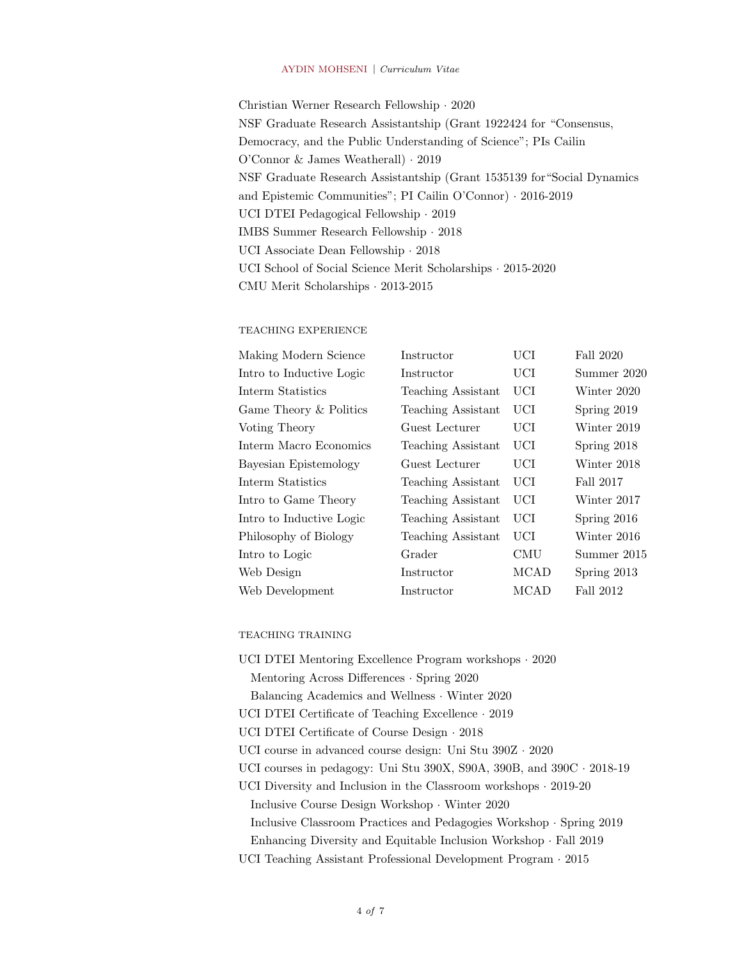Christian Werner Research Fellowship · 2020 NSF Graduate Research Assistantship (Grant 1922424 for "Consensus, Democracy, and the Public Understanding of Science"; PIs Cailin O'Connor & James Weatherall) · 2019 NSF Graduate Research Assistantship (Grant 1535139 for"Social Dynamics and Epistemic Communities"; PI Cailin O'Connor) · 2016-2019 UCI DTEI Pedagogical Fellowship · 2019 IMBS Summer Research Fellowship · 2018 UCI Associate Dean Fellowship · 2018 UCI School of Social Science Merit Scholarships · 2015-2020 CMU Merit Scholarships · 2013-2015

#### TEACHING EXPERIENCE

| Making Modern Science    | Instructor         | UCI         | Fall 2020     |
|--------------------------|--------------------|-------------|---------------|
| Intro to Inductive Logic | Instructor         | UCI         | Summer 2020   |
| Interm Statistics        | Teaching Assistant | <b>UCI</b>  | Winter 2020   |
| Game Theory & Politics   | Teaching Assistant | <b>UCI</b>  | Spring 2019   |
| Voting Theory            | Guest Lecturer     | UCI         | Winter 2019   |
| Interm Macro Economics   | Teaching Assistant | <b>UCI</b>  | Spring 2018   |
| Bayesian Epistemology    | Guest Lecturer     | UCI         | Winter 2018   |
| Interm Statistics        | Teaching Assistant | UCI         | Fall 2017     |
| Intro to Game Theory     | Teaching Assistant | <b>UCI</b>  | Winter 2017   |
| Intro to Inductive Logic | Teaching Assistant | <b>UCI</b>  | Spring $2016$ |
| Philosophy of Biology    | Teaching Assistant | UCI         | Winter 2016   |
| Intro to Logic           | Grader             | <b>CMU</b>  | Summer 2015   |
| Web Design               | Instructor         | <b>MCAD</b> | Spring $2013$ |
| Web Development          | Instructor         | <b>MCAD</b> | Fall 2012     |

## TEACHING TRAINING

| UCI DTEI Mentoring Excellence Program workshops · 2020                      |
|-----------------------------------------------------------------------------|
| Mentoring Across Differences $\cdot$ Spring 2020                            |
| Balancing Academics and Wellness Winter 2020                                |
| UCI DTEI Certificate of Teaching Excellence $\cdot$ 2019                    |
| UCI DTEI Certificate of Course Design $\cdot$ 2018                          |
| UCI course in advanced course design: Uni Stu $390Z \cdot 2020$             |
| UCI courses in pedagogy: Uni Stu 390X, S90A, 390B, and $390C \cdot 2018-19$ |
| UCI Diversity and Inclusion in the Classroom workshops $\cdot$ 2019-20      |
| Inclusive Course Design Workshop $\cdot$ Winter 2020                        |
| Inclusive Classroom Practices and Pedagogies Workshop · Spring 2019         |
| Enhancing Diversity and Equitable Inclusion Workshop · Fall 2019            |
| UCI Teaching Assistant Professional Development Program $\cdot$ 2015        |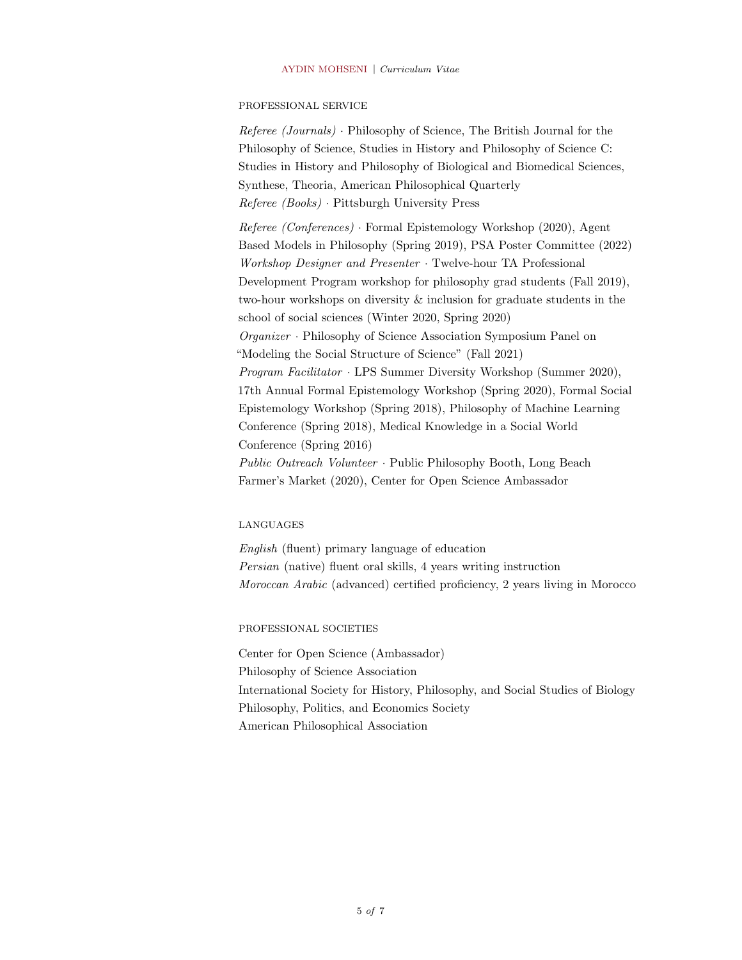#### PROFESSIONAL SERVICE

Referee (Journals) · Philosophy of Science, The British Journal for the Philosophy of Science, Studies in History and Philosophy of Science C: Studies in History and Philosophy of Biological and Biomedical Sciences, Synthese, Theoria, American Philosophical Quarterly Referee (Books) · Pittsburgh University Press

Referee (Conferences) · Formal Epistemology Workshop (2020), Agent Based Models in Philosophy (Spring 2019), PSA Poster Committee (2022) Workshop Designer and Presenter · Twelve-hour TA Professional Development Program workshop for philosophy grad students (Fall 2019), two-hour workshops on diversity & inclusion for graduate students in the school of social sciences (Winter 2020, Spring 2020) Organizer · Philosophy of Science Association Symposium Panel on "Modeling the Social Structure of Science" (Fall 2021) Program Facilitator · LPS Summer Diversity Workshop (Summer 2020), 17th Annual Formal Epistemology Workshop (Spring 2020), Formal Social Epistemology Workshop (Spring 2018), Philosophy of Machine Learning Conference (Spring 2018), Medical Knowledge in a Social World Conference (Spring 2016) Public Outreach Volunteer · Public Philosophy Booth, Long Beach Farmer's Market (2020), Center for Open Science Ambassador

#### LANGUAGES

English (fluent) primary language of education Persian (native) fluent oral skills, 4 years writing instruction Moroccan Arabic (advanced) certified proficiency, 2 years living in Morocco

PROFESSIONAL SOCIETIES

Center for Open Science (Ambassador) Philosophy of Science Association International Society for History, Philosophy, and Social Studies of Biology Philosophy, Politics, and Economics Society American Philosophical Association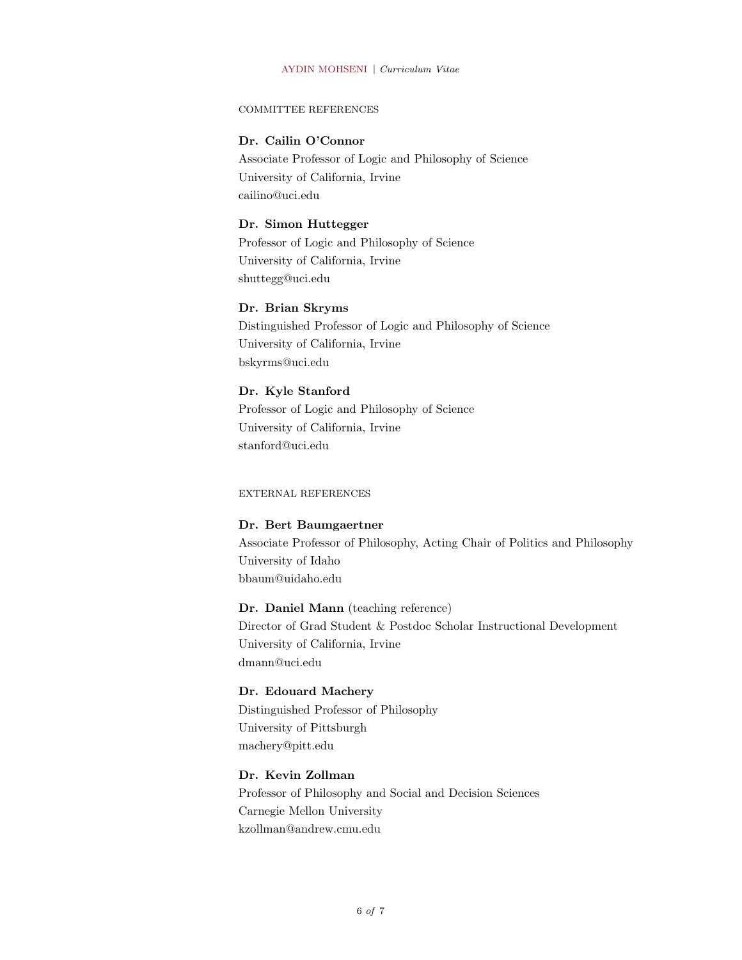#### COMMITTEE REFERENCES

## Dr. Cailin O'Connor

Associate Professor of Logic and Philosophy of Science University of California, Irvine cailino@uci.edu

## Dr. Simon Huttegger

Professor of Logic and Philosophy of Science University of California, Irvine shuttegg@uci.edu

## Dr. Brian Skryms

Distinguished Professor of Logic and Philosophy of Science University of California, Irvine bskyrms@uci.edu

## Dr. Kyle Stanford

Professor of Logic and Philosophy of Science University of California, Irvine stanford@uci.edu

EXTERNAL REFERENCES

#### Dr. Bert Baumgaertner

Associate Professor of Philosophy, Acting Chair of Politics and Philosophy University of Idaho bbaum@uidaho.edu

#### Dr. Daniel Mann (teaching reference)

Director of Grad Student & Postdoc Scholar Instructional Development University of California, Irvine dmann@uci.edu

#### Dr. Edouard Machery

Distinguished Professor of Philosophy University of Pittsburgh machery@pitt.edu

## Dr. Kevin Zollman

Professor of Philosophy and Social and Decision Sciences Carnegie Mellon University kzollman@andrew.cmu.edu